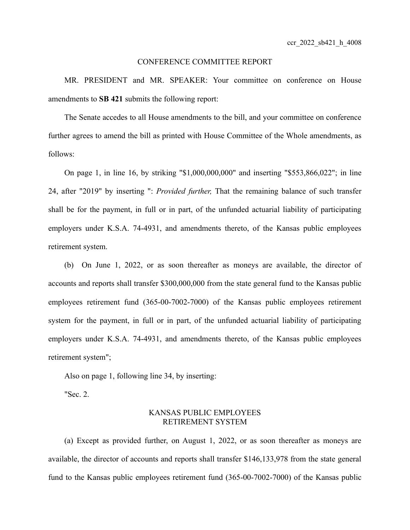## CONFERENCE COMMITTEE REPORT

MR. PRESIDENT and MR. SPEAKER: Your committee on conference on House amendments to **SB 421** submits the following report:

The Senate accedes to all House amendments to the bill, and your committee on conference further agrees to amend the bill as printed with House Committee of the Whole amendments, as follows:

On page 1, in line 16, by striking "\$1,000,000,000" and inserting "\$553,866,022"; in line 24, after "2019" by inserting ": *Provided further,* That the remaining balance of such transfer shall be for the payment, in full or in part, of the unfunded actuarial liability of participating employers under K.S.A. 74-4931, and amendments thereto, of the Kansas public employees retirement system.

(b) On June 1, 2022, or as soon thereafter as moneys are available, the director of accounts and reports shall transfer \$300,000,000 from the state general fund to the Kansas public employees retirement fund (365-00-7002-7000) of the Kansas public employees retirement system for the payment, in full or in part, of the unfunded actuarial liability of participating employers under K.S.A. 74-4931, and amendments thereto, of the Kansas public employees retirement system";

Also on page 1, following line 34, by inserting:

"Sec. 2.

## KANSAS PUBLIC EMPLOYEES RETIREMENT SYSTEM

(a) Except as provided further, on August 1, 2022, or as soon thereafter as moneys are available, the director of accounts and reports shall transfer \$146,133,978 from the state general fund to the Kansas public employees retirement fund (365-00-7002-7000) of the Kansas public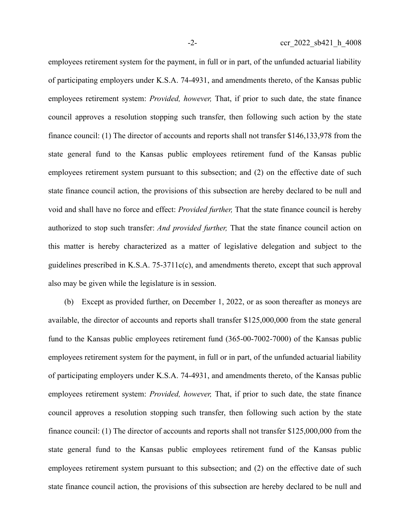employees retirement system for the payment, in full or in part, of the unfunded actuarial liability of participating employers under K.S.A. 74-4931, and amendments thereto, of the Kansas public employees retirement system: *Provided, however,* That, if prior to such date, the state finance council approves a resolution stopping such transfer, then following such action by the state finance council: (1) The director of accounts and reports shall not transfer \$146,133,978 from the state general fund to the Kansas public employees retirement fund of the Kansas public employees retirement system pursuant to this subsection; and (2) on the effective date of such state finance council action, the provisions of this subsection are hereby declared to be null and void and shall have no force and effect: *Provided further,* That the state finance council is hereby authorized to stop such transfer: *And provided further,* That the state finance council action on this matter is hereby characterized as a matter of legislative delegation and subject to the guidelines prescribed in K.S.A. 75-3711c(c), and amendments thereto, except that such approval also may be given while the legislature is in session.

(b) Except as provided further, on December 1, 2022, or as soon thereafter as moneys are available, the director of accounts and reports shall transfer \$125,000,000 from the state general fund to the Kansas public employees retirement fund (365-00-7002-7000) of the Kansas public employees retirement system for the payment, in full or in part, of the unfunded actuarial liability of participating employers under K.S.A. 74-4931, and amendments thereto, of the Kansas public employees retirement system: *Provided, however,* That, if prior to such date, the state finance council approves a resolution stopping such transfer, then following such action by the state finance council: (1) The director of accounts and reports shall not transfer \$125,000,000 from the state general fund to the Kansas public employees retirement fund of the Kansas public employees retirement system pursuant to this subsection; and (2) on the effective date of such state finance council action, the provisions of this subsection are hereby declared to be null and